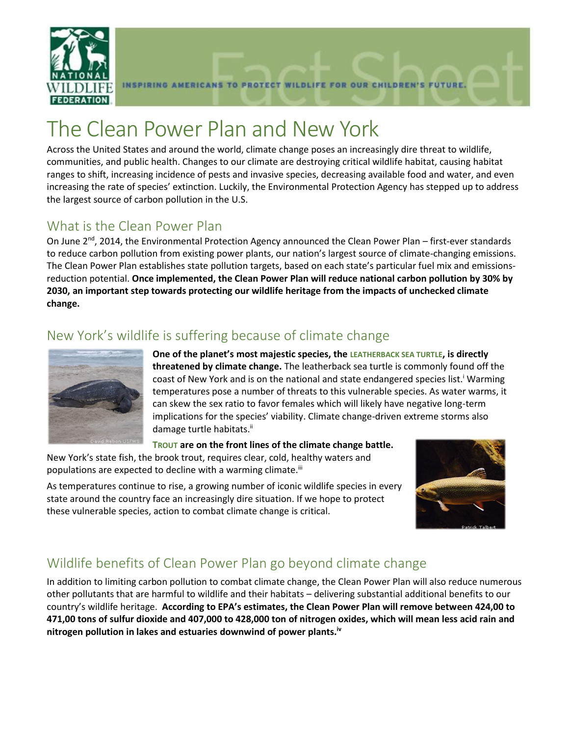

# The Clean Power Plan and New York

Across the United States and around the world, climate change poses an increasingly dire threat to wildlife, communities, and public health. Changes to our climate are destroying critical wildlife habitat, causing habitat ranges to shift, increasing incidence of pests and invasive species, decreasing available food and water, and even increasing the rate of species' extinction. Luckily, the Environmental Protection Agency has stepped up to address the largest source of carbon pollution in the U.S.

## What is the Clean Power Plan

On June 2<sup>nd</sup>, 2014, the Environmental Protection Agency announced the Clean Power Plan – first-ever standards to reduce carbon pollution from existing power plants, our nation's largest source of climate-changing emissions. The Clean Power Plan establishes state pollution targets, based on each state's particular fuel mix and emissionsreduction potential. **Once implemented, the Clean Power Plan will reduce national carbon pollution by 30% by 2030, an important step towards protecting our wildlife heritage from the impacts of unchecked climate change.**

### New York's wildlife is suffering because of climate change



**One of the planet's most majestic species, the LEATHERBACK SEA TURTLE, is directly threatened by climate change.** The leatherback sea turtle is commonly found off the coast of New York and is on the national and state endangered species list.<sup>1</sup> Warming temperatures pose a number of threats to this vulnerable species. As water warms, it can skew the sex ratio to favor females which will likely have negative long-term implications for the species' viability. Climate change-driven extreme storms also damage turtle habitats.<sup>ii</sup>

**TROUT are on the front lines of the climate change battle.** 

New York's state fish, the brook trout, requires clear, cold, healthy waters and populations are expected to decline with a warming climate.<sup>iii</sup>

As temperatures continue to rise, a growing number of iconic wildlife species in every state around the country face an increasingly dire situation. If we hope to protect these vulnerable species, action to combat climate change is critical.



## Wildlife benefits of Clean Power Plan go beyond climate change

In addition to limiting carbon pollution to combat climate change, the Clean Power Plan will also reduce numerous other pollutants that are harmful to wildlife and their habitats – delivering substantial additional benefits to our country's wildlife heritage. **According to EPA's estimates, the Clean Power Plan will remove between 424,00 to 471,00 tons of sulfur dioxide and 407,000 to 428,000 ton of nitrogen oxides, which will mean less acid rain and nitrogen pollution in lakes and estuaries downwind of power plants.iv**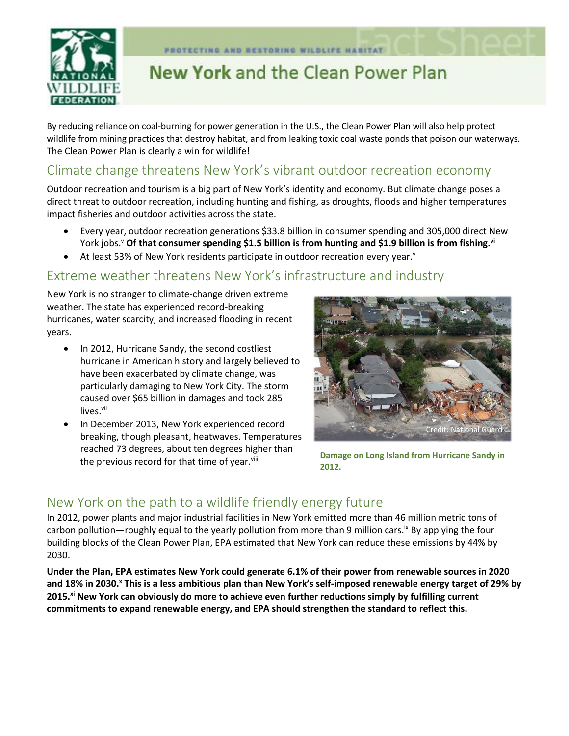

# New York and the Clean Power Plan

By reducing reliance on coal-burning for power generation in the U.S., the Clean Power Plan will also help protect wildlife from mining practices that destroy habitat, and from leaking toxic coal waste ponds that poison our waterways. The Clean Power Plan is clearly a win for wildlife!

#### Climate change threatens New York's vibrant outdoor recreation economy

Outdoor recreation and tourism is a big part of New York's identity and economy. But climate change poses a direct threat to outdoor recreation, including hunting and fishing, as droughts, floods and higher temperatures impact fisheries and outdoor activities across the state.

- Every year, outdoor recreation generations \$33.8 billion in consumer spending and 305,000 direct New York jobs. <sup>v</sup> **Of that consumer spending \$1.5 billion is from hunting and \$1.9 billion is from fishing.vi**
- At least 53% of New York residents participate in outdoor recreation every year.<sup>v</sup>

#### Extreme weather threatens New York's infrastructure and industry

New York is no stranger to climate-change driven extreme weather. The state has experienced record-breaking hurricanes, water scarcity, and increased flooding in recent years.

- In 2012, Hurricane Sandy, the second costliest hurricane in American history and largely believed to have been exacerbated by climate change, was particularly damaging to New York City. The storm caused over \$65 billion in damages and took 285 lives.<sup>vii</sup>
- In December 2013, New York experienced record breaking, though pleasant, heatwaves. Temperatures reached 73 degrees, about ten degrees higher than the previous record for that time of year.<sup>viii</sup>



**Damage on Long Island from Hurricane Sandy in 2012.** 

#### New York on the path to a wildlife friendly energy future

In 2012, power plants and major industrial facilities in New York emitted more than 46 million metric tons of carbon pollution—roughly equal to the yearly pollution from more than 9 million cars.<sup>ix</sup> By applying the four building blocks of the Clean Power Plan, EPA estimated that New York can reduce these emissions by 44% by 2030.

**Under the Plan, EPA estimates New York could generate 6.1% of their power from renewable sources in 2020 and 18% in 2030. <sup>x</sup> This is a less ambitious plan than New York's self-imposed renewable energy target of 29% by 2015.xi New York can obviously do more to achieve even further reductions simply by fulfilling current commitments to expand renewable energy, and EPA should strengthen the standard to reflect this.**